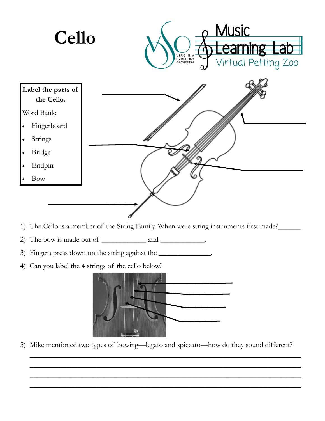

- 1) The Cello is a member of the String Family. When were string instruments first made?
- 2) The bow is made out of and  $\qquad \qquad$  and  $\qquad \qquad$
- 3) Fingers press down on the string against the \_\_\_\_\_\_\_\_\_\_\_\_\_\_.
- 4) Can you label the 4 strings of the cello below?



5) Mike mentioned two types of bowing—legato and spiccato—how do they sound different?

\_\_\_\_\_\_\_\_\_\_\_\_\_\_\_\_\_\_\_\_\_\_\_\_\_\_\_\_\_\_\_\_\_\_\_\_\_\_\_\_\_\_\_\_\_\_\_\_\_\_\_\_\_\_\_\_\_\_\_\_\_\_\_\_\_\_\_\_\_\_\_\_\_ \_\_\_\_\_\_\_\_\_\_\_\_\_\_\_\_\_\_\_\_\_\_\_\_\_\_\_\_\_\_\_\_\_\_\_\_\_\_\_\_\_\_\_\_\_\_\_\_\_\_\_\_\_\_\_\_\_\_\_\_\_\_\_\_\_\_\_\_\_\_\_\_\_ \_\_\_\_\_\_\_\_\_\_\_\_\_\_\_\_\_\_\_\_\_\_\_\_\_\_\_\_\_\_\_\_\_\_\_\_\_\_\_\_\_\_\_\_\_\_\_\_\_\_\_\_\_\_\_\_\_\_\_\_\_\_\_\_\_\_\_\_\_\_\_\_\_ \_\_\_\_\_\_\_\_\_\_\_\_\_\_\_\_\_\_\_\_\_\_\_\_\_\_\_\_\_\_\_\_\_\_\_\_\_\_\_\_\_\_\_\_\_\_\_\_\_\_\_\_\_\_\_\_\_\_\_\_\_\_\_\_\_\_\_\_\_\_\_\_\_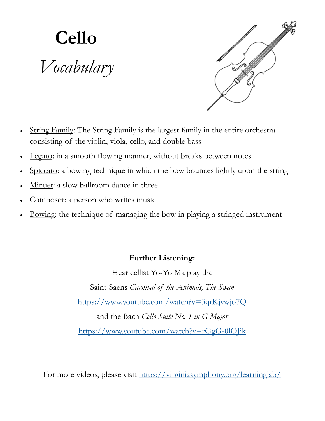## **Cello** *Vocabulary*



- String Family: The String Family is the largest family in the entire orchestra consisting of the violin, viola, cello, and double bass
- Legato: in a smooth flowing manner, without breaks between notes
- Spiccato: a bowing technique in which the bow bounces lightly upon the string
- Minuet: a slow ballroom dance in three
- Composer: a person who writes music
- Bowing: the technique of managing the bow in playing a stringed instrument

## **Further Listening:**

Hear cellist Yo-Yo Ma play the Saint-Saëns *Carnival of the Animals, The Swan* <https://www.youtube.com/watch?v=3qrKjywjo7Q> and the Bach *Cello Suite No. 1 in G Major* <https://www.youtube.com/watch?v=rGgG-0lOJjk>

For more videos, please visit <https://virginiasymphony.org/learninglab/>